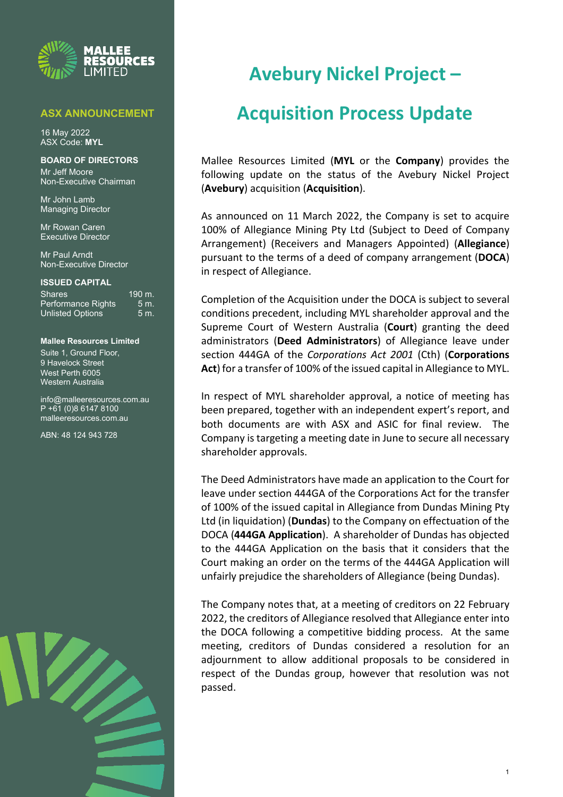

### **ASX ANNOUNCEMENT**

16 May 2022 ASX Code: **MYL**

### **BOARD OF DIRECTORS**

Mr Jeff Moore Non-Executive Chairman

Mr John Lamb Managing Director

Mr Rowan Caren Executive Director

Mr Paul Arndt Non-Executive Director

#### **ISSUED CAPITAL**

| <b>Shares</b>             | 190 m. |
|---------------------------|--------|
| <b>Performance Rights</b> | 5m     |
| <b>Unlisted Options</b>   | 5m     |

**Mallee Resources Limited** Suite 1, Ground Floor,

9 Havelock Street West Perth 6005 Western Australia

[info@malleeresources.com.au](mailto:info@malleeresources.com.au) P +61 (0)8 6147 8100 malleeresources.com.au

ABN: 48 124 943 728



# **Avebury Nickel Project –**

## **Acquisition Process Update**

Mallee Resources Limited (**MYL** or the **Company**) provides the following update on the status of the Avebury Nickel Project (**Avebury**) acquisition (**Acquisition**).

As announced on 11 March 2022, the Company is set to acquire 100% of Allegiance Mining Pty Ltd (Subject to Deed of Company Arrangement) (Receivers and Managers Appointed) (**Allegiance**) pursuant to the terms of a deed of company arrangement (**DOCA**) in respect of Allegiance.

Completion of the Acquisition under the DOCA is subject to several conditions precedent, including MYL shareholder approval and the Supreme Court of Western Australia (**Court**) granting the deed administrators (**Deed Administrators**) of Allegiance leave under section 444GA of the *Corporations Act 2001* (Cth) (**Corporations Act**) for a transfer of 100% of the issued capital in Allegiance to MYL.

In respect of MYL shareholder approval, a notice of meeting has been prepared, together with an independent expert's report, and both documents are with ASX and ASIC for final review. The Company is targeting a meeting date in June to secure all necessary shareholder approvals.

The Deed Administrators have made an application to the Court for leave under section 444GA of the Corporations Act for the transfer of 100% of the issued capital in Allegiance from Dundas Mining Pty Ltd (in liquidation) (**Dundas**) to the Company on effectuation of the DOCA (**444GA Application**). A shareholder of Dundas has objected to the 444GA Application on the basis that it considers that the Court making an order on the terms of the 444GA Application will unfairly prejudice the shareholders of Allegiance (being Dundas).

The Company notes that, at a meeting of creditors on 22 February 2022, the creditors of Allegiance resolved that Allegiance enter into the DOCA following a competitive bidding process. At the same meeting, creditors of Dundas considered a resolution for an adjournment to allow additional proposals to be considered in respect of the Dundas group, however that resolution was not passed.